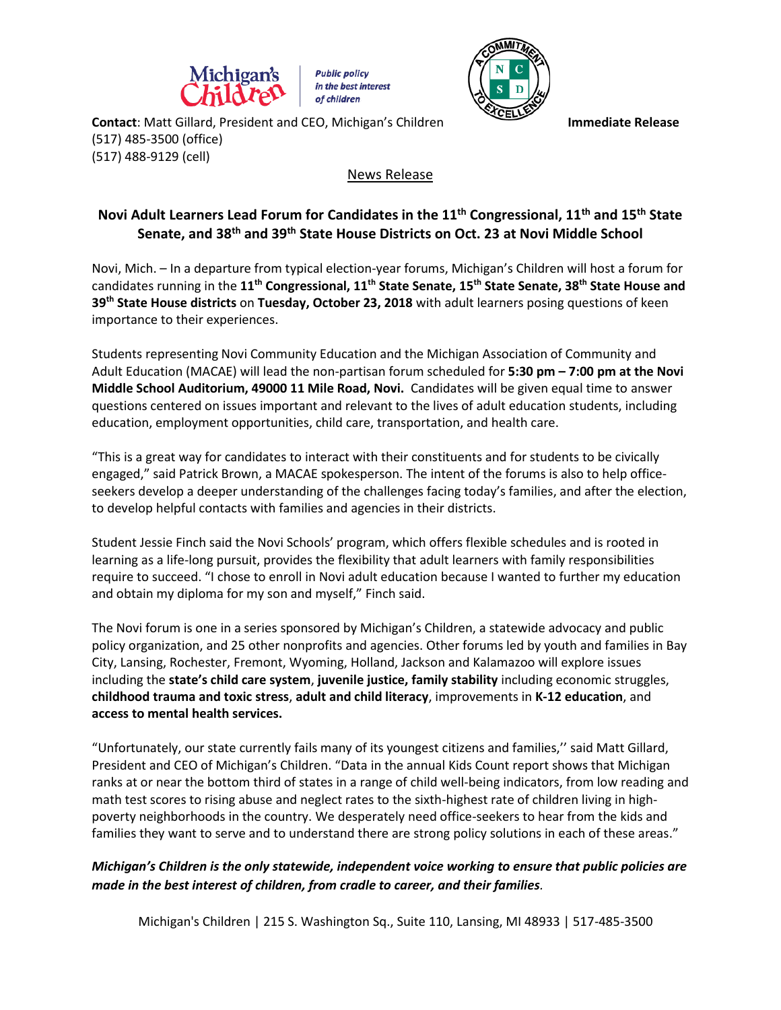

**Public policy** in the best interest of children



**Contact:** Matt Gillard, President and CEO, Michigan's Children **Immediate Release** (517) 485-3500 (office) (517) 488-9129 (cell)

## News Release

## **Novi Adult Learners Lead Forum for Candidates in the 11th Congressional, 11th and 15th State Senate, and 38th and 39th State House Districts on Oct. 23 at Novi Middle School**

Novi, Mich. – In a departure from typical election-year forums, Michigan's Children will host a forum for candidates running in the **11th Congressional, 11th State Senate, 15th State Senate, 38th State House and 39th State House districts** on **Tuesday, October 23, 2018** with adult learners posing questions of keen importance to their experiences.

Students representing Novi Community Education and the Michigan Association of Community and Adult Education (MACAE) will lead the non-partisan forum scheduled for **5:30 pm – 7:00 pm at the Novi Middle School Auditorium, 49000 11 Mile Road, Novi.** Candidates will be given equal time to answer questions centered on issues important and relevant to the lives of adult education students, including education, employment opportunities, child care, transportation, and health care.

"This is a great way for candidates to interact with their constituents and for students to be civically engaged," said Patrick Brown, a MACAE spokesperson. The intent of the forums is also to help officeseekers develop a deeper understanding of the challenges facing today's families, and after the election, to develop helpful contacts with families and agencies in their districts.

Student Jessie Finch said the Novi Schools' program, which offers flexible schedules and is rooted in learning as a life-long pursuit, provides the flexibility that adult learners with family responsibilities require to succeed. "I chose to enroll in Novi adult education because I wanted to further my education and obtain my diploma for my son and myself," Finch said.

The Novi forum is one in a series sponsored by Michigan's Children, a statewide advocacy and public policy organization, and 25 other nonprofits and agencies. Other forums led by youth and families in Bay City, Lansing, Rochester, Fremont, Wyoming, Holland, Jackson and Kalamazoo will explore issues including the **state's child care system**, **juvenile justice, family stability** including economic struggles, **childhood trauma and toxic stress**, **adult and child literacy**, improvements in **K-12 education**, and **access to mental health services.** 

"Unfortunately, our state currently fails many of its youngest citizens and families,'' said Matt Gillard, President and CEO of Michigan's Children. "Data in the annual Kids Count report shows that Michigan ranks at or near the bottom third of states in a range of child well-being indicators, from low reading and math test scores to rising abuse and neglect rates to the sixth-highest rate of children living in highpoverty neighborhoods in the country. We desperately need office-seekers to hear from the kids and families they want to serve and to understand there are strong policy solutions in each of these areas."

## *Michigan's Children is the only statewide, independent voice working to ensure that public policies are made in the best interest of children, from cradle to career, and their families.*

Michigan's Children | 215 S. Washington Sq., Suite 110, Lansing, MI 48933 | 517-485-3500